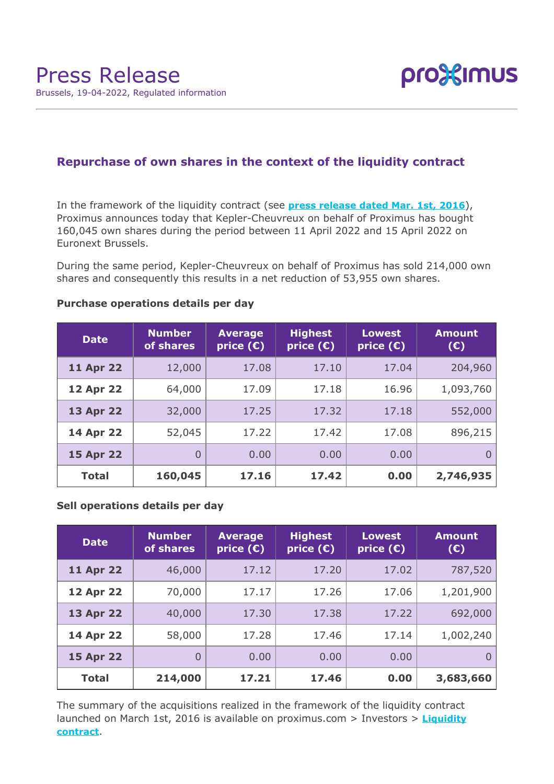

# **Repurchase of own shares in the context of the liquidity contract**

In the framework of the liquidity contract (see **[press release dated Mar. 1st, 2016](https://www.proximus.com/news/2016/proximus-enters-liquidity-contract.html)**), Proximus announces today that Kepler-Cheuvreux on behalf of Proximus has bought 160,045 own shares during the period between 11 April 2022 and 15 April 2022 on Euronext Brussels.

During the same period, Kepler-Cheuvreux on behalf of Proximus has sold 214,000 own shares and consequently this results in a net reduction of 53,955 own shares.

| <b>Date</b>      | <b>Number</b><br>of shares | <b>Average</b><br>price $(E)$ | <b>Highest</b><br>price $(E)$ | <b>Lowest</b><br>price $(\epsilon)$ | <b>Amount</b><br>(E) |
|------------------|----------------------------|-------------------------------|-------------------------------|-------------------------------------|----------------------|
| <b>11 Apr 22</b> | 12,000                     | 17.08                         | 17.10                         | 17.04                               | 204,960              |
| <b>12 Apr 22</b> | 64,000                     | 17.09                         | 17.18                         | 16.96                               | 1,093,760            |
| <b>13 Apr 22</b> | 32,000                     | 17.25                         | 17.32                         | 17.18                               | 552,000              |
| 14 Apr 22        | 52,045                     | 17.22                         | 17.42                         | 17.08                               | 896,215              |
| <b>15 Apr 22</b> | $\overline{0}$             | 0.00                          | 0.00                          | 0.00                                |                      |
| <b>Total</b>     | 160,045                    | 17.16                         | 17.42                         | 0.00                                | 2,746,935            |

### **Purchase operations details per day**

## **Sell operations details per day**

| <b>Date</b>      | <b>Number</b><br>of shares | <b>Average</b><br>price $(E)$ | <b>Highest</b><br>price $(E)$ | <b>Lowest</b><br>price $(\epsilon)$ | <b>Amount</b><br>(E) |
|------------------|----------------------------|-------------------------------|-------------------------------|-------------------------------------|----------------------|
| <b>11 Apr 22</b> | 46,000                     | 17.12                         | 17.20                         | 17.02                               | 787,520              |
| <b>12 Apr 22</b> | 70,000                     | 17.17                         | 17.26                         | 17.06                               | 1,201,900            |
| <b>13 Apr 22</b> | 40,000                     | 17.30                         | 17.38                         | 17.22                               | 692,000              |
| <b>14 Apr 22</b> | 58,000                     | 17.28                         | 17.46                         | 17.14                               | 1,002,240            |
| <b>15 Apr 22</b> | $\overline{0}$             | 0.00                          | 0.00                          | 0.00                                | O                    |
| <b>Total</b>     | 214,000                    | 17.21                         | 17.46                         | 0.00                                | 3,683,660            |

The summary of the acquisitions realized in the framework of the liquidity contract launched on March 1st, 2016 is available on proximus.com > Investors > **[Liquidity](https://www.proximus.com/en/investors/liquidity-contract.html) [contract](https://www.proximus.com/en/investors/liquidity-contract.html)**.